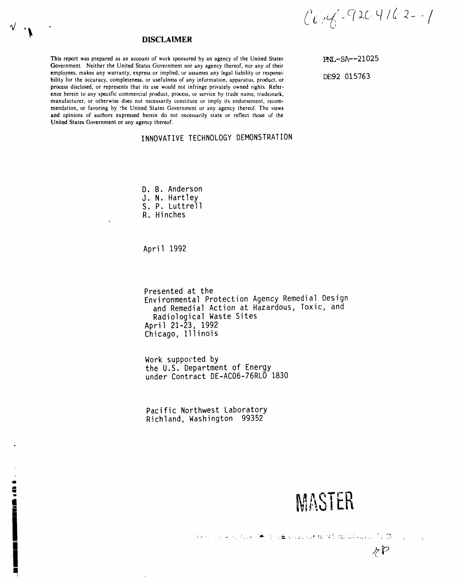$C$  $C_1C_2C_3 + C_1C_2 + C_2C_3 + C_1C_2 + C_2C_3$ 

# **DISCLAIMER**

This report was prepared as an account of work sponsored by an agency of the United States Government. Neither the United States Government nor any agency thereof, nor any of their employees, makes any warranty, express or implied, or assumes any legal liability or responsibility for the accuracy, completeness, or usefulness of any information, apparatus, product, or process disclosed, or represents that its use would not infringe privately owned rights. Reference herein to any specific commercial product, process, or service by trade name, trademark, manufacturer, or otherwise does not necessarily constitute or imply its endorsement, recommendation, or favoring by the United States Government or any agency thereof. The views and opinions of authors expressed herein do not necessarily state or reflect those of the United States Government or any agency thereof.

# INNOVATIVE TECHNOLOGY DEMONSTRATION

D. B. Anderson

- J. N. Hartley
- S. P. Luttrell
- R. Hinches

April 1992

14日

Presented at the Environmental Protection Agency Remedial Design and Remedial Action at Hazardous, Toxic, and Radiological Waste Sites April 21-23, 1992 Chicago, Illinois

Work supported by the U.S. Department of Energy under Contract DE-AC06-76RLO 1830

Pacific Northwest Laboratory Richland, Washington 99352

MASTER

 $P$ 

Definite protect Of the Constant Constraints O

PNL-SA--21025 DE92 015763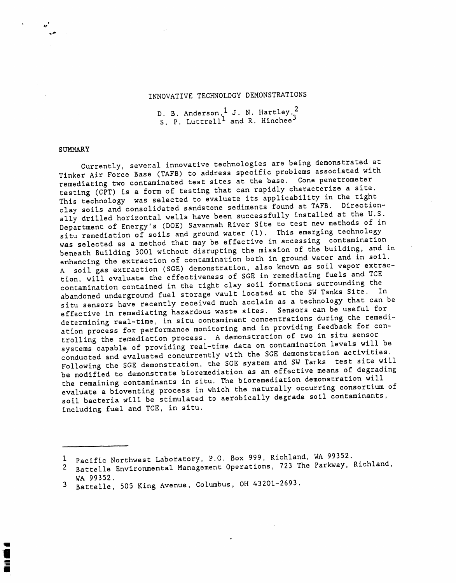# INNOVATIVE TECHNOLOGY DEMONSTRATIONS

L

S. P. Luttrell<sup>1</sup> and R. Hinchee<sup>3</sup>

# SUMMARY

Currently, several innovative technologies are being associated with Tinker Air Force Base (TAFB) to address specific problems associated with remediating two contaminated test sites at the base. Cone penetrometer<br>testing (CPT) is a form of testing that can rapidly characterize a site. This technology was selected to evaluate its applicability in the tight clay soils and consolidated sandstone sediments found at TAFB. Directionally drilled horizontal wells have been successfully installed at the U.S. Department of Energy's (DOE) Savannah River Site to test new methods of in Department of Energy's (DOE) Savannah River Site of this offers technology situ remediation of soils and ground water  $(1)$ . This emergency is extended to the solution of  $\mathbf{r}$ was selected as a method that may be effective in accessing contamination beneath Building 3001 without disrupting the mission of the building, and in A soil gas extraction (SGE) demonstration, also known as soil vapor extraction, will evaluate the effectiveness of SGE in remediating fuels and TCE tion, will evaluate the effectiveness of SGE in remetions surrounding the contamination contained in the tight clay soil formations  $\frac{1}{2}$  is  $\frac{1}{2}$  . If abandoned underground fuel storage vault located at the SW Tanks Site. In situ sensors have recently received much acclaim as a technology that can be effective in remediating hazardous waste sites. Sensors can be useful for<br>determining real-time, in situ contaminant concentrations during the remediation process for performance monitoring and in providing feedback for controlling the remediation process. A demonstration of two in situ sensor systems capable of providing real-time data on contamination levels will be systems capable of providing real-time with the SCE demonstration activities. conducted and evaluated concurrently with the SGE demonstration for fite wi Following the SGE demonstration, the SGE system and SECRETING means of degrading be modified to demonstrate bioremediation as an effective measure  $\frac{1}{2}$ the remaining contaminants in situ. The bioremediation demonstration will<br>evaluate a bioventing process in which the naturally occurring consortium of evaluate a bioventing process in which the natural consolidation of contaminants soil bacteria will be stimulated to aerobically degrade soil contamination including fuel and TCE, in situ.

i Pacific Northwest Laboratory, P.O. Box 999, Richland, WA 99352.

<sup>2</sup> Battelle Environmental Management Operations, 723 The Parkway, Richland, WA 99352.

<sup>3</sup> Battelle, 505 King Avenue, Columbus, OH 43201-2693.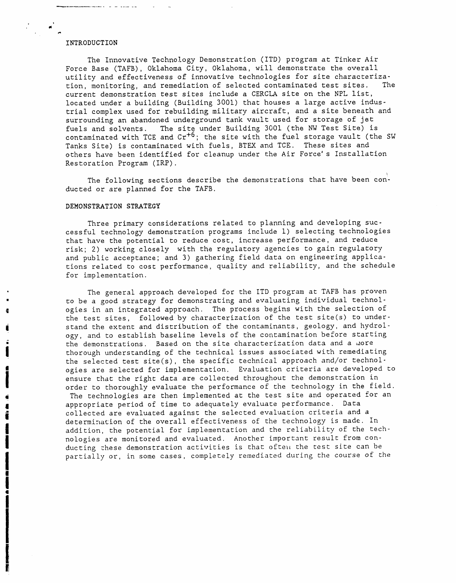# INTRODUCTION

• **i**

i<br>international profit de la profit de la profit de la profit de la profit de la profit de la profit de la profi<br>international profit de la profit de la profit de la profit de la profit de la profit de la profit de la prof

**i** I

The Innovative Technology Demonstration (1TD) program at Tinker Air Force Base (TAFB), Oklahoma City, Oklahoma, will demonstrate the overall utility and effectiveness of innovative technologies for site characterization, monitoring, and remediation of selected contaminated test sites. The current demonstration test sites include a CERCLA site on the NPL list, located under a building (Building 3001) that houses a large active industrial complex used for rebuilding military aircraft, and a site beneath and surrounding an abandoned underground tank vault used for storage of jet<br>fuels and solvents. The site under Building 3001 (the NW Test Site) i The site under Building 3001 (the NW Test Site) is contaminated with TCE and  $Cr^{+6}$ ; the site with the fuel storage vault (the SW Tanks Site) is contaminated with fuels, BTEX and TCE. These sites and others have been identified for cleanup under the Air Force's Installation Restoration Program (IRP).

The following sections describe the demonstrations that have been conducted or are planned for the TAFB.

#### DEMONSTRATION STRATEGY

Three primary considerations related to planning and developing successful technology demonstration programs include I) selecting technologies that have the potential to reduce cost, increase performance, and reduce risk; 2) working closely with the regulatory agencies to gain regulatory and public acceptance; and 3) gathering field data on engineering applications related to cost performance, quality and reliability, and the schedule for implementation.

The general approach developed for the ITD program at TAFB has proven to be a good strategy for demonstrating and evaluating individual technol-<br>ogies in an integrated approach. The process begins with the selection of I chorough understanding of the technical issues associated with remediating the test sites, followed by characterization of the test site(s) to under- **-** stand the extent and distribution of the contaminants, geology, and hydrology, and to establish baseline levels of the contamination before starting the demonstrations. Based on the site characterization data and a more  $\blacksquare$  order to thoroughly evaluate the performance of the technology in the field ogies are selected for implementation. Evaluation criteria are developed to ensure that the right data are collected throughout the demonstration in

The technologies are then implemented at the test site and operated for an<br>appropriate period of time to adequately evaluate performance. Data collected are evaluated against the selected evaluation criteria and a collected are evaluated performance.  $\frac{1}{2}$ determination of the overall effectiveness of the technology is made. In addition, the potential for implementation and the reliability of the technologies are monitored and evaluated. Another important result from conducting these demonstration activities is that often the test site can be partially or, in some cases, completely remediated during the course of the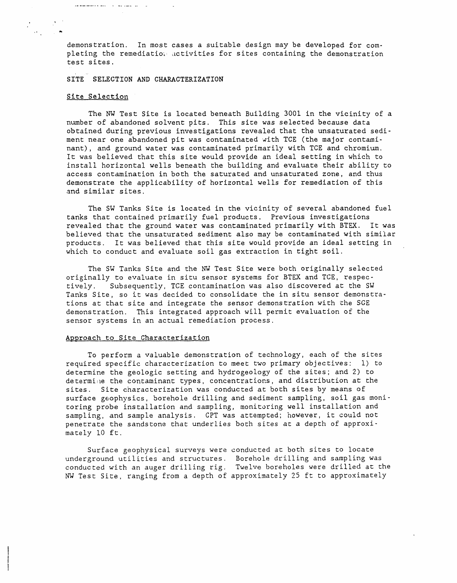demonstration. In most cases a suitable design may be developed for completing the remediation activities for sites containing the demonstration test sites.

SITE SELECTION AND CHARACTERIZATION

# Site Selection

an man member a constitution of the second control of

,**0** N,

The NW Test Site is located beneath Building 3001 in the vicinity of a number of abandoned solvent pits. This site was selected because data obtained during previous investigations revealed that the unsaturated sediment near one abandoned pit was contaminated with TCE (the major contaminant), and ground water was contaminated primarily with TCE and chromium. lt was believed that this site would provide an ideal setting in which to install horizontal wells beneath the building and evaluate their ability to access contamination in both the saturated and unsaturated zone, and thus demonstrate the applicability of horizontal wells for remediation of this and similar sites.

The SW Tanks Site is located in the vicinity of several abandoned fuel tanks that contained primarily fuel products. Previous investigations revealed that the ground water was contaminated primarily with BTEX. lt was believed that the unsaturated sediment also may be contaminated with similar products, lt was believed that this site would provide an ideal setting in which to conduct and evaluate soil gas extraction in tight soil.

The SW Tanks Site and the NW Test Site were both originally selected originally to evaluate in situ sensor systems for BTEX and TCE, respec-Subsequently, TCE contamination was also discovered at the SW Tanks Site, so it was decided to consolidate the in situ sensor demonstrations at that site and integrate the sensor demonstration with the SGE demonstration. This integrated approach will permit evaluation of the sensor systems in an actual remediation process.

# Approach to Site Characterization

To perform a valuable demonstration of technology, each of the sites required specific characterization to meet two primary objectives: 1) to determine the geologic setting and hydrogeology of the sites**;** and 2) to determine the contaminant types, concentrations, and distribution at the sites. Site characterization was conducted at both sites by means of surface geophysics, borehole drilling and sediment sampling, soil gas monitoring probe installation and sampling, monitoring well installation and sampling, and sample analysis. CPT was attempted**;** however, it could not penetrate the sandstone that underlies both sites at a depth of approximately i0 ft.

Surface geophysical surveys were conducted at both sites to locate underground utilities and structures. Borehole drilling and sampling was conducted with an auger drilling rig. Twelve boreholes were drilled at the NW Test Site, ranging from a depth of approximately 25 ft to approximately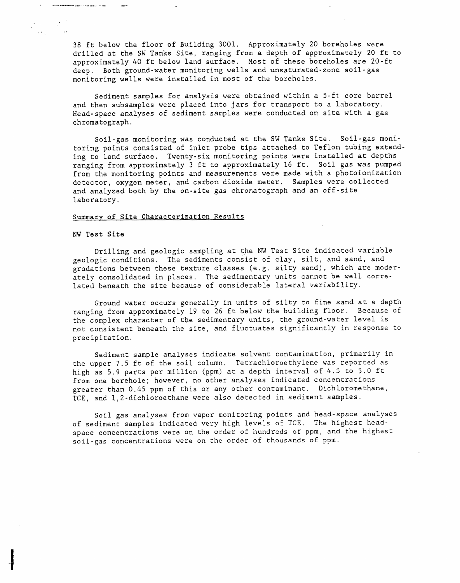38 ft below the floor of Building 3001. Approximately 20 boreholes were drilled at the SW Tanks Site, ranging from a depth of approximately 20 ft to approximately 40 ft below land surface. Most of these boreholes are 20-ft deep. Both ground-water monitoring wells and unsaturated-zone soil-gas monitoring wells were installed in most of the boreholes.

Sediment samples for analysis were obtained within a 5-ft core barrel and then subsamples were placed into jars for transport to a laboratory. Head-space analyses of sediment samples were conducted on site with a gas chromatograph.

Soil-gas monitoring was conducted at the SW Tanks Site. Soil-gas monitoring points consisted of inlet probe tips attached to Teflon tubing extending to land surface. Twenty-six monitoring points were installed at depths ranging from approximately 3 ft to approximately 16 ft. Soil gas was pumped from the monitoring points and measurements were made with a photoionization detector, oxygen meter, and carbon dioxide meter. Samples were collected and analyzed both by the on-site gas chromatograph and an off-site laboratory.

# Summary of Site Characterization Results

# NW Test Site

 $\sim 1.4$  and an excellent state of the second contract of the contract of the second contract of the  $\sim 10^{-3}$ 

 $\label{eq:2} \frac{1}{2}\sum_{i=1}^n\frac{1}{2}\sum_{j=1}^n\frac{1}{2}\sum_{j=1}^n\frac{1}{2}\sum_{j=1}^n\frac{1}{2}\sum_{j=1}^n\frac{1}{2}\sum_{j=1}^n\frac{1}{2}\sum_{j=1}^n\frac{1}{2}\sum_{j=1}^n\frac{1}{2}\sum_{j=1}^n\frac{1}{2}\sum_{j=1}^n\frac{1}{2}\sum_{j=1}^n\frac{1}{2}\sum_{j=1}^n\frac{1}{2}\sum_{j=1}^n\frac{1}{2}\sum_{j=1}^n\frac{$ 

l  $\mathbf I$ 

Drilling and geologic sampling at the NW Test Site indicated variable geologic conditions. The sediments consist of clay, silt, and sand, and gradations between these texture classes (e.g. silty sand), which are moderately consolidated in places. The sedimentary units cannot be well correlated beneath the site because of considerable lateral variability.

Ground water occurs generally in units of silty to fine sand at a depth ranging from approximately 19 to 26 ft below the building floor. Because of the complex character of the sedimentary units, the ground-water level is not consistent beneath the site, and fluctuates significantly in response to precipitation.

Sediment sample analyses indicate solvent contamination, primarily in the upper 7.5 ft of the soil column. Tetrachloroethylene was reported as high as 5.9 parts per million (ppm) at a depth interval of 4.5 to 5.0 ft from one borehole; however, no other analyses indicated concentrations greater than 0.45 ppm of this or any other contaminant. Dichloromethane, TCE, and 1,2-dichloroethane were also detected in sediment samples.

Soil gas analyses from vapor monitoring points and head-space analyses of sediment samples indicated very high levels of TCE. The highest headspace concentrations were on the order of hundreds of ppm, and the highest soil-gas concentrations were on the order of thousands of ppm.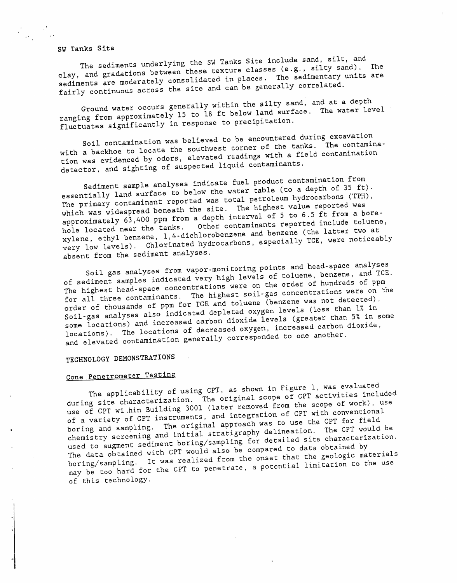SW Tanks Site

 $\mathcal{L}_{\text{max}}$ 

The sediments underlying the SW Tanks Site include sand, silt, and<br>clay, and gradations between these texture classes (e.g., silty sand). The clay, and gradations between these texture and in places. The sedimentary units are sediments are moderately consolidated in place in places. The senarally correlated. fairly continuous across the site and can be generally correlated.

Ground water occurs generally within the silty sand, and at a depth ranging from approximately 15 to 18 ft below land surface. The water level fluctuates significantly in response to precipitation.

Soil contamination was believed to be encountered during excavation with a backhoe to locate the southwest corner of the tanks. The contamination was evidenced by odors, elevated readings with a field contamination detector, and sighting of suspected liquid contaminants.

Sediment sample analyses indicate fuel product contamination from essentially land surface to below the water table (to a depth of 35 ft). The primary contaminant reported was total petroleum hydrocarbons (TPH), which was widespread beneath the site. The highest value reported was approximately 63,400 ppm from a depth interval of 5 to 6.5 ft from a bore-<br>hole located near the tanks. Other contaminants reported include toluene<br>xylene, ethyl benzene, 1,4-dichlorobenzene and benzene (the latter two at hole located near the tanks. Other contaminants reported include toluene,  $x$ ylene, ethyl benzene,  $x$ , and  $x$  has been and bedrocarbons, especially TCE, were notices very low levels). Chart analyses

absent from the sediment analyses.<br>Soil gas analyses from vapor-monitoring points and head-space analyses Soil gas analyses from various high levels of toluene, benzene, and I of sediment samples indicated very high word on the order of hundreds of ppm The highest head-space concentrations were on the order of  $\frac{m}{n}$  is phast soil-gas concentrations were on for all three contaminants. The  $\frac{m}{2}$  soil-gas concentrations was not detected). order of thousands of ppm for TCE and toluene (benzene was not detected).<br>Soil-gas analyses also indicated depleted oxygen levels (less than 1% in Soil-gas analyses also indicated as then diexide levels (greater than 5% in some locations) and increased careersed oxygen, increased carbon dioxide, locations). The locations of decreased oxygen, increased carbon dioxide, and elevated contamination generally corresponded to one another.

TECHNOLOGY DEMONSTRATIONS

Cone Penetrometer Testing<br>The applicability of using CPT, as shown in Figure 1, was evaluated during site characterization. The original scope of CPT activities included during site characterization. The original scope of WOTK, use use of CPT wi.hin Building 3001 (later removed for a CPT with conventional of a variety of CPT instruments, and integration of CPT with conventional<br>boring and sampling. The original approach was to use the CPT for field i boring and sampling. The original approach was to use the CPT would chemistry screening and the ming (compling for detailed site characterization. used to augment sediment boring/sampling for detailed site characterization. The data obtained with CPT would also be compared to data obtained by boring/sampling, lt was realized from the onset that the geologic materials may be too hard for the CPT to penetrate, a potential limitation to the use of this technology.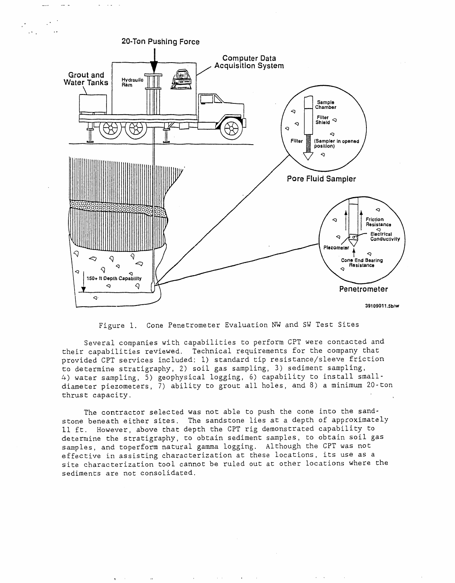

**°**

Figure i**.** Cone Penetrometer Evaluation NW and SW Test Sites

Several companies with capabilities to perform CPT were contacted and their capabilities reviewed. Technical requirements for the company that provided CPT services included: i) standard tip resistance/sleeve friction to determine stratigraphy, 2) soil gas sampling, 3) sediment sampling, 4) water sampling, 5) geophysical logging, 6) capability to install smalldiameter piezometers, 7) ability to grout all holes, and 8) a minimum 20-ton thrust capacity**.**

The contractor selected was not able to push the cone into the sandstone beneath either sites. The sandstone lies at a depth of approximately II ft. However, above that depth the CPT rig demonstrated capability to determine the stratigraphy, to obtain sediment samples, to obtain soil gas samples, and toperform natural gamma logging. Although the CPT was not effective in assisting characterization at these locations, its use as a site characterization tool cannot be ruled out at other locations where the sediments are not consolidated.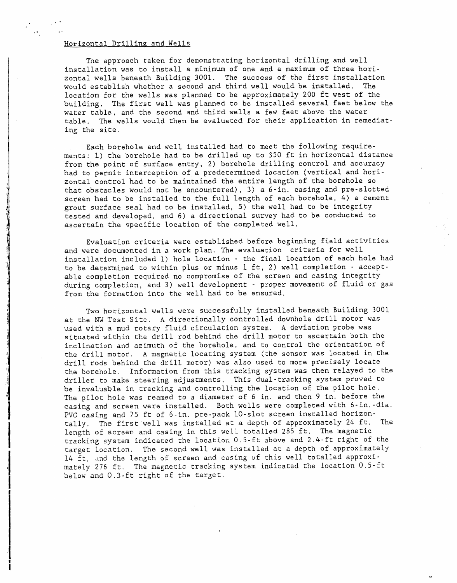# Horizontal Drilling and Wells

 $\cdot$   $\cdot$ 

.. ,'

The approach taken for demonstrating horizontal drilling and well installation was to install a minimum of one and a maximum of three horizontal wells beneath Building 3001. The success of the first installation would establish whether a second and third well would be installed. The location for the wells was planned to be approximately 200 ft west of the building. The first well was planned to be installed several feet below the water table, and the second and third wells a few feet above the water table. The wells would then be evaluated for their application in remediating the site.

Each borehole and well installed had to meet the following requirements: 1) the borehole had to be drilled up to 350 ft in horizontal distance from the point of surface entry, 2) borehole drilling control and accuracy had to permit interception of a predetermined location (vertical and horizontal control had to be maintained the entire length of the borehole so that obstacles would not be encountered), 3) a 6-in. casing and pre-slotted screen had to be installed to the full length of each borehole, 4) a cement grout surface seal had to be installed, 5) the well had to be integrity tested and developed, and 6) a directional survey had to be conducted to ascertain the specific location of the completed well.

Evaluation criteria were established before beginning field activities and were documented in a work plan. The evaluation criteria for well installation included I) hole location - the final location of each hole had to be determined to within plus or minus I ft, 2) well completion - acceptable completion required no compromise of the screen and casing integrity during completion, and 3) well development - proper movement of fluid or gas from the formation into the well had to be ensured.

Two horizontal wells were successfully installed beneath Building 3001 at the NW Test Site. A directionally controlled downhole drill motor was used with a mud rotary fluid circulation system. A deviation probe was situated within the drill rod behind the drill motor to ascertain both the inclination and azimuth of the borehole, and to control the orientation of the drill motor. A magnetic locating system (the sensor was located in the drill rods behind the drill motor) was also used to more precisely locate the borehole. Information from this tracking system was then relayed to the driller to make steering adjustments. This dual-tracking system proved to be invaluable in tracking and controlling the location of the pilot hole. The pilot hole was reamed to a diameter of 6 in. and then 9 in. before the<br>casing and screen were installed. Both wells were completed with 6-in.-dia. PVC casing and 75 ft of 6-in. pre-pack 10-slot screen installed horizon-<br>Fally The first well was installed at a depth of approximately 24 ft. The tally. The first well was installed at a depth of approximately 24 ft. length of screen and casing in this well totalled 285 ft. The magnetic tracking system indicated the location 0.5-ft above and 2.4-ft right of the target location. The second well was installed at a depth of approximately 14 ft, and the length of screen and casing of this well totalled approximately 276 ft. The magnetic tracking system indicated the location 0.5-ft below and 0.3-ft right of the target.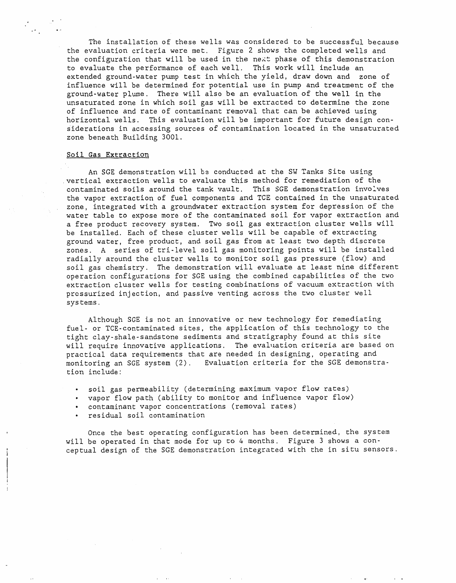The installation of these wells was considered to be successful because the evaluation criteria were met. Figure 2 shows the completed wells and the configuration that will be used in the next phase of this demonstration to evaluate the performance of each well. This work will include an extended ground-water pump test in which the yield, draw down and zone of influence will be determined for potential use in pump and treatment of the ground-water plume. There will also be an evaluation of the well in the unsaturated zone in which soil gas will be extracted to determine the zone of influence and rate of contaminant removal that can be achieved using horizontal wells. This evaluation will be important for future design considerations in accessing sources of contamination located in the unsaturated zone beneath Building 3001.

# Soil Gas Extraction

°. °.,

An SGE demonstration will hs conducted at the SW Tanks Site using vertical extraction wells to evaluate this method for remediation of the contaminated soils around the tank vault. This SGE demonstration involves the vapor extraction of fuel components and TCE contained in the unsaturated zone, integrated with a groundwater extraction system for depression of the water table to expose more of the contaminated soil for vapor extraction and a free product recovery system. Two soil gas extraction cluster wells will be installed. Each of these cluster wells will be capable of extracting ground water, free product, and soil gas from at least two depth discrete zones. A series of tri-level soil gas monitoring points will be installed radially around the cluster wells to monitor soil gas pressure (flow) and soil gas chemistry. The demonstration will evaluate at least nine different operation configurations for SGE using the combined capabilities of the two extraction cluster wells for testing combinations of vacuum extraction with pressurized injection, and passive venting across the two cluster well systems.

Although SGE is not an innovative or new technology for remediating fuel- or TCE-contaminated sites, the application of this technology to the tight clay-shale-sandstone sediments and stratigraphy found at this site will require innovative applications. The evaluation criteria are based on practical data requirements that are needed in designing, operating and monitoring an SGE system (2). Evaluation criteria for the SGE demonstration include'

- soil gas permeability (determining maximum vapor flow rates)
- vapor flow path (ability to monitor and influence vapor flow)
- contaminant vapor concentrations (removal rates)
- residual soil contamination

Once the best operating configuration has been determined, the system will be operated in that mode for up to 4 months. Figure 3 shows a conceptual design of the SGE demonstration integrated with the in situ sensors.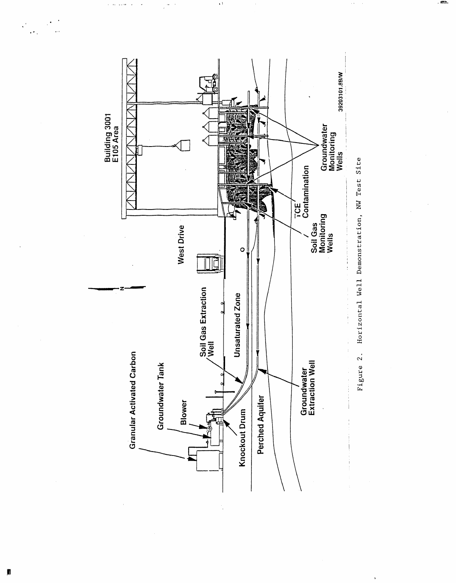

 $\lambda$ 

 $\omega$  .  $\omega$ 

Figure 2. Horizontal Well Demonstration, NW Test Site

 $\ddot{\phantom{0}}$ 

 $\bar{\psi}$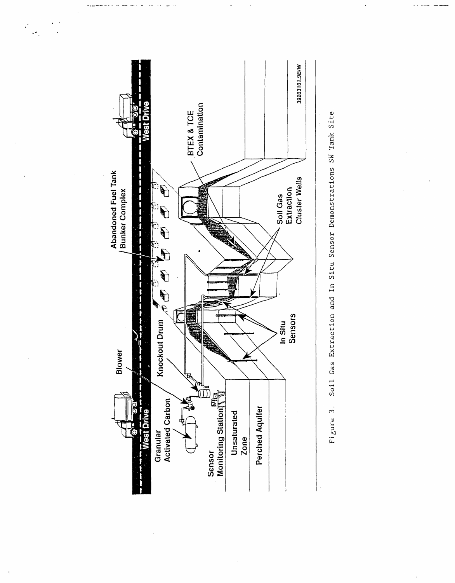



 $\frac{1}{2}$  $\epsilon^*$  $\ddot{\cdot}$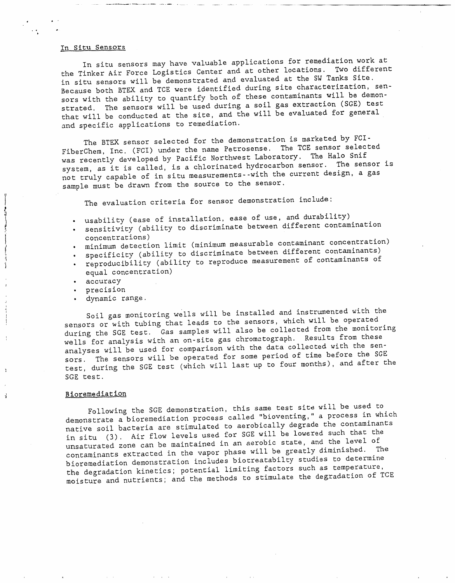# In Situ Sensors

b

l

Å

In situ sensors may have valuable applications for remediation work at the Tinker Air Force Logistics Center and at other locations. Two different in situ sensors will be demonstrated and evaluated at the SW Tanks Site. Because both BTEX and TCE were identified during site characterization, sensors with the ability to quantify both of these contaminants will be demonstrated. The sensors will be used during a soil gas extraction (SGE) test that will be conducted at the site, and the will be evaluated for general and specific applications to remediation.

The BTEX sensor selected for the demonstration is marketed by FCI-<br>FiberChem, Inc. (FCI) under the name Petrosense. The TCE sensor selected was recently developed by Pacific Northwest Laboratory. The Halo Snif system, as it is called, is a chlorinated hydrocarbon sensor. The sensor is system, as it is called, is a chroning health the surrent design a gas not truly capable of in situ measurementssample must be drawn from the source to the sensor.

The evaluation criteria for sensor demonstration include:

- . usability (ease of installation, ease of use, and durability)
- $\frac{1}{2}$  sensitivity (ability to discriminate between different contamination
	- concentrations)<br>minimum detection limit (minimum measurable contaminant concentration)
	- specificity (ability to discriminate between different contaminants)
- specificity (ability to discriminate between  $\alpha$  contaminants) 1 **•** reproducibility (ability to represent of equal concentration)
	- accuracy
	- precision
	- dynamic range.

Soil gas monitoring wells will be installed and installed and instrumented and instrumented with the operated I sensors or with tubing that leads to the sensors, which we sensor is during the SGE test. Gas samples will also be collected from the monitoring<br>wells for analysis with an on-site gas chromatograph. Results from these analyses will be used for comparison with the data collected with the senanalyses will be used for comparison with the data comparison of time before the SGI sors. The sensors will be operated for some period of the Sensor industrial test, during the SGE test (which will last up to four months), and after the SGE test.

### B ioreme diat ion

Following the SGE demonstration, this same test site will be used to<br>demonstrate a bioremediation process called "bioventing," a process in which demonstrate a bioremediation process carred "biography" is conteminants native soil bacteria are stimulated to acrossimal degrad such that the in situ (3). Air flow levels used for SGE will be lowered such that the unsaturated zone can be maintained in an aerobic state, and the level of unsaturated zone can be maintained in an acrease state, in an annual contaminished. The contaminants extracted in the vapor phase will be greatly diminished. The bioremediation demonstration includes biotreatabilty studies to determine the degradation kinetics; potential limiting factors such as temperature,  $\alpha$  degradation kinetics; potential limit factors the degradation of moisture and nutrients; and the methods to stimulate the degradation of TCEE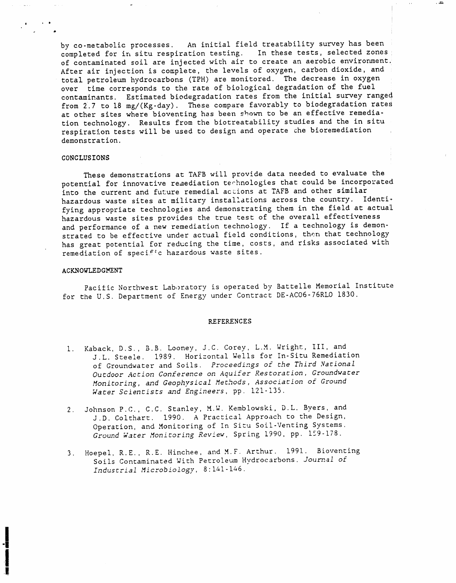by co-metabolic processes. An initial field treatability survey has bee completed for irl situ respiration testing. In these tests, selected zones of contaminated soil are injected with air to create an aerobic environment. After air injection is complete, the levels of oxygen, carbon dioxide, and total petroleum hydrocarbons (TPH) are monitored. The decrease in oxygen over time corresponds to the rate of biological degradation of the fuel contaminants. Estimated biodegradation rates from the initial survey ranged from 2.7 to 18 mg/(Kg-day). These compare favorably to biodegradation rates at other sites where bioventing has been shown to be an effective remediation technology. Results from the biotreatability studies and the in situ respiration tests will be used to design and operate che bioremediation demonstration.

**,** ,,I1\_11\_

# CONCLUS IONS

t ' •

These demonstrations at TAFB will provide data needed to evaluate the potential for innovative remediation technologies that could be incorporated into the current and future remedial actions at TAFB and other similar hazardous waste sites at military installations across the country. Identifying appropriate technologies and demonstrating them in the field at actual hazardous waste sites provides the true test of the overall effectiveness and performance of a new remediation technology. If a technology is demonstrated to be effective under actual field conditions, then that technology has great potential for reducing the time, costs, and risks associated with remediation of specif:c hazardous waste sites.

### ACKNOWLEDGMENT

Pacific Northwest Laboratory is operated by Battelle Memorial Institute for the U.S. Department of Energy under Contract DE-ACO6-76RLO 1830.

## REFERENCES

- I. Kaback, D.S,, B.B. Looney, J.C. Corey, L.M. Wright, III, and J.L. Steele. 1989. Horizontal Wells for In-Situ Remediation of Groundwater and Soils. Proceedings of the Third National Outdoor Action Conference on Aquifer Restoration, Groundwater Monitoring, and Geophysical Methods, Association of Ground Water Scientists and Engineers, pp. 121-135.
- 2. Johnson P.C., C.C. Stanley, M.W. Kembiowski, D.L. Byers, and J.D. Colthart. 1990. A Practical Approach to the Design, Operation, and Monitoring of In Situ Soil-Venting Systems. Ground Water Monitoring Review, Spring 1990, pp. 159-178.
- 3. Hoepel, R.E., R.E. Hinchee, and M.F. Arthur. 199].. Bioventing Soils Contaminated With Petroleum Hydrocarbons. Journal of Industrial Microbiology, 8:141-146.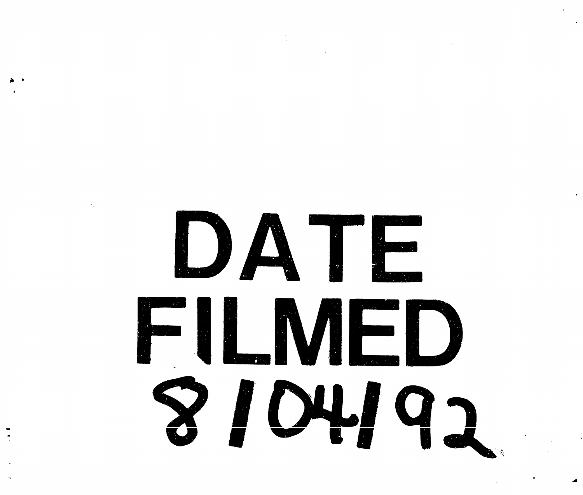DATE FILMED 8104192